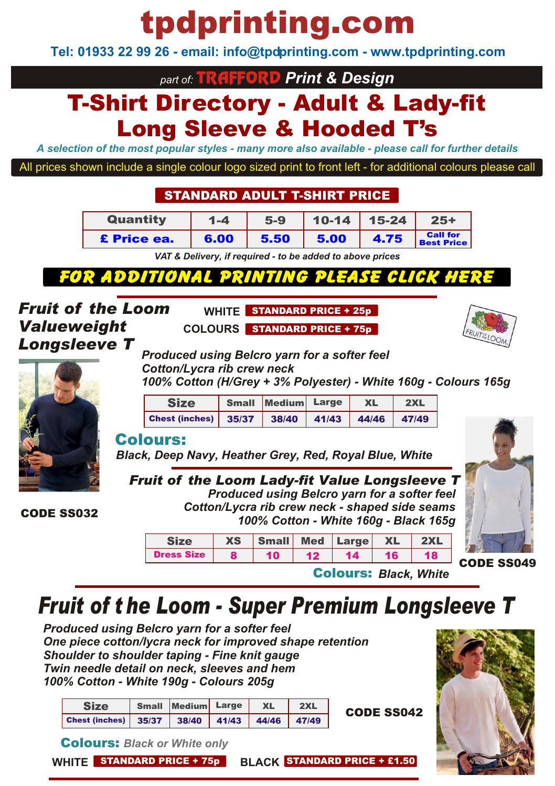# tpdprinting.com

**Tel: 01933 22 99 26 - email: info@tpdprinting.com - www.tpdprinting.com**

*part of:* TRAFFORD *Print & Design*

## T-Shirt Directory - Adult & Lady-fit Long Sleeve & Hooded T's

*A selection of the most popular styles - many more also available - please call for further details*

All prices shown include a single colour logo sized print to front left - for additional colours please call

#### STANDARD ADULT T-SHIRT PRICE

| Quantity           | $1 - 4$ | $5-9$ | $10-14$   15-24 |      | $25+$                                |
|--------------------|---------|-------|-----------------|------|--------------------------------------|
| <b>£</b> Price ea. | 6.00    | 5.50  | 5.00            | 4.75 | <b>Call for</b><br><b>Best Price</b> |

*[VAT & Delivery, if required - to be added to above prices](http://www.tpdprinting.com/resources/17+Adult+T-Shirts+Flexi+Print.pdf)*

### **FOR ADDITIONA**

**WHITE** STANDARD PRICE + 25p **COLOURS** STANDARD PRICE + 75p

*Fruit of the Loom Valueweight Longsleeve T*



*Produced using Belcro yarn for a softer feel Cotton/Lycra rib crew neck 100% Cotton (H/Grey + 3% Polyester) - White 160g - Colours 165g*

| <b>Size</b>                                                                                                     | Small Medium Large | <b>XL</b> | 2XL |  |
|-----------------------------------------------------------------------------------------------------------------|--------------------|-----------|-----|--|
| Chest (inches) $\begin{array}{ c c c c c c c c c }\n\hline\n35/37 & 38/40 & 41/43 & 44/46 & 47/49\n\end{array}$ |                    |           |     |  |

#### Colours:

*Black, Deep Navy, Heather Grey, Red, Royal Blue, White*

*Fruit of the Loom Lady-fit Value Longsleeve T Produced using Belcro yarn for a softer feel Cotton/Lycra rib crew neck - shaped side seams 100% Cotton - White 160g - Black 165g*



CODE SS049

|                   | <b>XS</b> | Small Med Large XL |         |                 |                 |    |
|-------------------|-----------|--------------------|---------|-----------------|-----------------|----|
| <b>Dress Size</b> |           | 10                 | $12-12$ | 14 <sup>7</sup> | 16 <sup>2</sup> | 18 |
|                   |           |                    |         |                 |                 |    |

Colours: *Black, White*

## *Fruit of t he Loom - Super Premium Longsleeve T*

*Produced using Belcro yarn for a softer feel One piece cotton/lycra neck for improved shape retention Shoulder to shoulder taping - Fine knit gauge Twin needle detail on neck, sleeves and hem 100% Cotton - White 190g - Colours 205g*

| <b>Size</b>                                  | Small Medium Large | <b>XL</b> | 2XL | <b>CODE SS042</b> |
|----------------------------------------------|--------------------|-----------|-----|-------------------|
| Chest (inches) 35/37 38/40 41/43 44/46 47/49 |                    |           |     |                   |



Colours: *Black or White only*

| <b>WHITE</b> STANDARD PRICE + 75p |
|-----------------------------------|
|-----------------------------------|

**WHITE** STANDARD PRICE + £1.50

CODE SS032

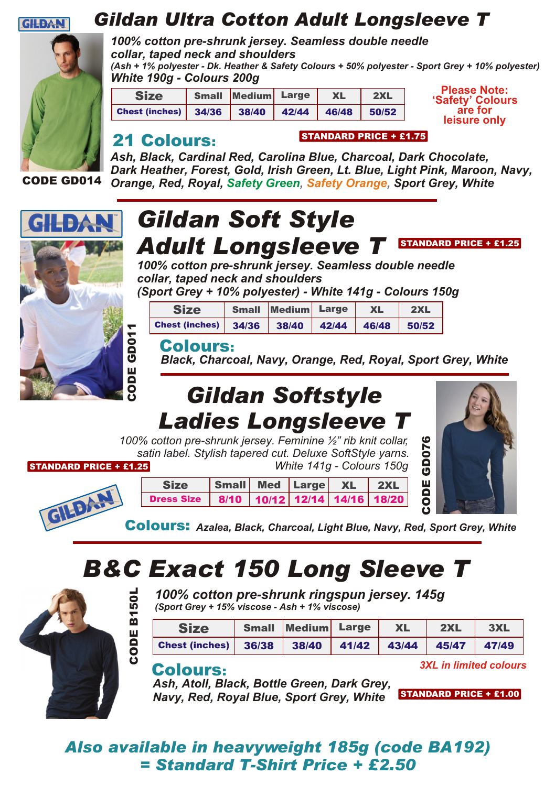

### *Gildan Ultra Cotton Adult Longsleeve T*



CODE GD014

*100% cotton pre-shrunk jersey. Seamless double needle collar, taped neck and shoulders (Ash + 1% polyester - Dk. Heather & Safety Colours + 50% polyester - Sport Grey + 10% polyester) White 190g - Colours 200g*

| <b>Size</b>                                  |  | Small Medium Large | XL |  |
|----------------------------------------------|--|--------------------|----|--|
| Chest (inches) 34/36 38/40 42/44 46/48 50/52 |  |                    |    |  |

**Please Note: 'Safety' Colours are for leisure only**

#### 21 Colours:

*Ash, Black, Cardinal Red, Carolina Blue, Charcoal, Dark Chocolate, Dark Heather, Forest, Gold, Irish Green, Lt. Blue, Light Pink, Maroon, Navy,* **Orange, Red, Royal, Safety Green, Safety Orange, Sport Grey, White** 

STANDARD PRICE + £1.75



### *Gildan Soft Style Adult Longsleeve T* STANDARD PRICE + £1.25

*100% cotton pre-shrunk jersey. Seamless double needle collar, taped neck and shoulders*

*(Sport Grey + 10% polyester) - White 141g - Colours 150g*

| <b>Size</b>                                  | <b>Small Medium Large</b> | <b>XL</b> | 2XL |
|----------------------------------------------|---------------------------|-----------|-----|
| Chest (inches) 34/36 38/40 42/44 46/48 50/52 |                           |           |     |

#### Colours:

*Black, Charcoal, Navy, Orange, Red, Royal, Sport Grey, White*

## *Gildan Softstyle Ladies Longsleeve T*

*100% cotton pre-shrunk jersey. Feminine ½" rib knit collar, satin label. Stylish tapered cut. Deluxe SoftStyle yarns. White 141g - Colours 150g* STANDARD PRICE + £1.25





Colours: *Azalea, Black, Charcoal, Light Blue, Navy, Red, Sport Grey, White*

## *B&C Exact 150 Long Sleeve T*



GILDAN

*100% cotton pre-shrunk ringspun jersey. 145g (Sport Grey + 15% viscose - Ash + 1% viscose)*

| <b>Size</b>           | Small Medium Large | <b>XL</b>         | 2XL | 3XL   |
|-----------------------|--------------------|-------------------|-----|-------|
| <b>Chest (inches)</b> | $36/38$ 38/40      | 41/42 43/44 45/47 |     | 47/49 |

#### Colours:

*Ash, Atoll, Black, Bottle Green, Dark Grey, Navy, Red, Royal Blue, Sport Grey, White*

*3XL in limited colours*

STANDARD PRICE + £1.00

#### *Also available in heavyweight 185g (code BA192) = Standard T-Shirt Price + £2.50*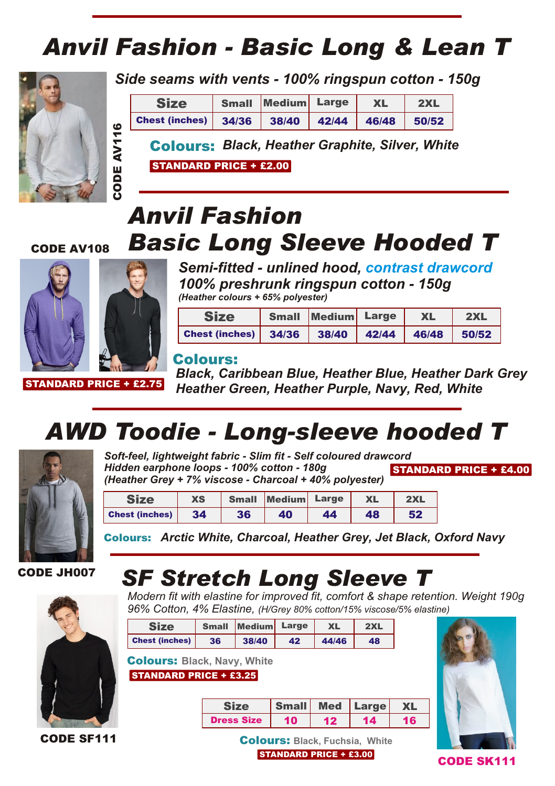## *Anvil Fashion - Basic Long & Lean T*



*Side seams with vents - 100% ringspun cotton - 150g*

|   | <b>Size</b>                                           | <b>Small Medium Large</b> | <b>XL</b> | 2XL   |
|---|-------------------------------------------------------|---------------------------|-----------|-------|
| ه | Chest (inches) 34/36 38/40 42/44 46/48                |                           |           | 50/52 |
|   | <b>Colours: Black, Heather Graphite, Silver, Whit</b> |                           |           |       |

STANDARD PRICE + £2.00

### *Anvil Fashion Basic Long Sleeve Hooded T* CODECODE AV108



STANDARD PRICE + £2.75

*Semi-fitted - unlined hood, contrast drawcord 100% preshrunk ringspun cotton - 150g (Heather colours + 65% polyester)*

| <b>Size</b>                                  | Small Medium Large |  | <b>XL</b> | 2XL |  |
|----------------------------------------------|--------------------|--|-----------|-----|--|
| Chest (inches) 34/36 38/40 42/44 46/48 50/52 |                    |  |           |     |  |

#### Colours:

*Black, Caribbean Blue, Heather Blue, Heather Dark Grey Heather Green, Heather Purple, Navy, Red, White*

## *AWD Toodie - Long-sleeve hooded T*



*Soft-feel, lightweight fabric - Slim fit - Self coloured drawcord Hidden earphone loops - 100% cotton - 180g (Heather Grey + 7% viscose - Charcoal + 40% polyester)* STANDARD PRICE + £4.00

| Size                  | XS | <b>Small</b> | Medium Large |    | <b>XL</b> | 2XL |
|-----------------------|----|--------------|--------------|----|-----------|-----|
| <b>Chest (inches)</b> | 34 | 36           | 40           | 44 | 48        | 52  |

Colours: *Arctic White, Charcoal, Heather Grey, Jet Black, Oxford Navy*

CODE JH007

CODE SF111

### *SF Stretch Long Sleeve T*

*Modern fit with elastine for improved fit, comfort & shape retention. Weight 190g 96% Cotton, 4% Elastine, (H/Grey 80% cotton/15% viscose/5% elastine)*

| <b>Size</b>                                                         | <b>Small</b> | Medium            | Large        | <b>XL</b>  | 2XL   |           |  |  |
|---------------------------------------------------------------------|--------------|-------------------|--------------|------------|-------|-----------|--|--|
| <b>Chest (inches)</b>                                               | 36           | 38/40             | 42           | 44/46      | 48    |           |  |  |
| <b>Colours: Black, Navy, White</b><br><b>STANDARD PRICE + £3.25</b> |              |                   |              |            |       |           |  |  |
|                                                                     |              | <b>Size</b>       | <b>Small</b> | <b>Med</b> | Large | <b>XL</b> |  |  |
|                                                                     |              | <b>Dress Size</b> | 10           | $12 \,$    | 14    | 16        |  |  |



STANDARD PRICE + £3.00 Colours: **Black, Fuchsia, White**

CODE SK111